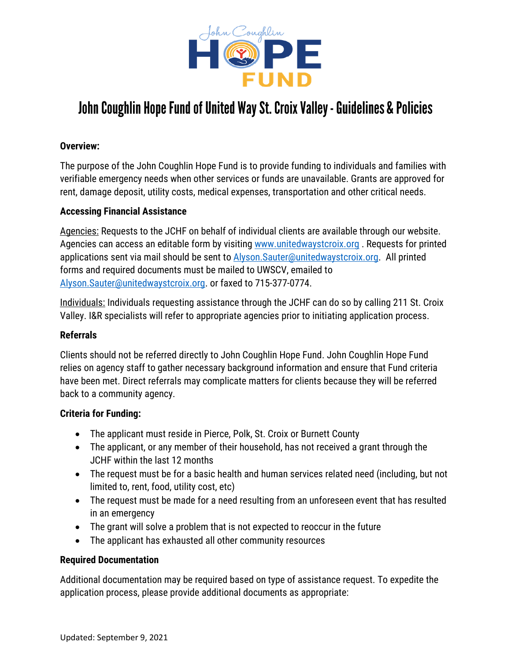

# John Coughlin Hope Fund of United Way St. Croix Valley - Guidelines & Policies

## **Overview:**

The purpose of the John Coughlin Hope Fund is to provide funding to individuals and families with verifiable emergency needs when other services or funds are unavailable. Grants are approved for rent, damage deposit, utility costs, medical expenses, transportation and other critical needs.

## **Accessing Financial Assistance**

Agencies: Requests to the JCHF on behalf of individual clients are available through our website. Agencies can access an editable form by visiting [www.unitedwaystcroix.org](http://www.unitedwaystcroix.org/) . Requests for printed applications sent via mail should be sent to Alyson. Sauter@unitedwaystcroix.org. All printed forms and required documents must be mailed to UWSCV, emailed to [Alyson.Sauter@unitedwaystcroix.org.](mailto:Alyson.Sauter@unitedwaystcroix.org) or faxed to 715-377-0774.

Individuals: Individuals requesting assistance through the JCHF can do so by calling 211 St. Croix Valley. I&R specialists will refer to appropriate agencies prior to initiating application process.

### **Referrals**

Clients should not be referred directly to John Coughlin Hope Fund. John Coughlin Hope Fund relies on agency staff to gather necessary background information and ensure that Fund criteria have been met. Direct referrals may complicate matters for clients because they will be referred back to a community agency.

#### **Criteria for Funding:**

- The applicant must reside in Pierce, Polk, St. Croix or Burnett County
- The applicant, or any member of their household, has not received a grant through the JCHF within the last 12 months
- The request must be for a basic health and human services related need (including, but not limited to, rent, food, utility cost, etc)
- The request must be made for a need resulting from an unforeseen event that has resulted in an emergency
- The grant will solve a problem that is not expected to reoccur in the future
- The applicant has exhausted all other community resources

#### **Required Documentation**

Additional documentation may be required based on type of assistance request. To expedite the application process, please provide additional documents as appropriate: